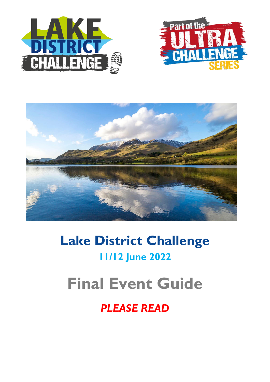





# **Lake District Challenge 11/12 June 2022**

# **Final Event Guide**

# *PLEASE READ*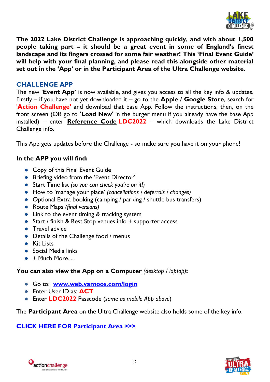

**The 2022 Lake District Challenge is approaching quickly, and with about 1,500 people taking part – it should be a great event in some of England's finest landscape and its fingers crossed for some fair weather! This 'Final Event Guide' will help with your final planning, and please read this alongside other material set out in the 'App' or in the Participant Area of the Ultra Challenge website.** 

# **CHALLENGE APP**

The new '**Event App'** is now available, and gives you access to all the key info & updates. Firstly – if you have not yet downloaded it – go to the **Apple / Google Store**, search for '**Action Challenge'** and download that base App. Follow the instructions, then, on the front screen (OR go to **'Load New**' in the burger menu if you already have the base App installed) – enter **Reference Code LDC2022** – which downloads the Lake District Challenge info.

This App gets updates before the Challenge - so make sure you have it on your phone!

# **In the APP you will find:**

- Copy of this Final Event Guide
- Briefing video from the 'Event Director'
- Start Time list *(so you can check you're on it!)*
- How to 'manage your place' *(cancellations / deferrals / changes)*
- Optional Extra booking (camping / parking / shuttle bus transfers)
- Route Maps *(final versions)*
- Link to the event timing & tracking system
- Start / finish & Rest Stop venues info + supporter access
- Travel advice
- Details of the Challenge food / menus
- Kit Lists
- Social Media links
- $\bullet$  + Much More.....

# **You can also view the App on a Computer** *(desktop / laptop)***:**

- Go to: **[www.web.vamoos.com/login](http://www.web.vamoos.com/login)**
- Enter User ID as: **ACT**
- Enter **LDC2022** Passcode (*same as mobile App above*)

The **Participant Area** on the Ultra Challenge website also holds some of the key info:

# **[CLICK HERE FOR Participant Area >>>](https://www.ultrachallenge.com/participant-area/lake-district-challenge-participant-area)**



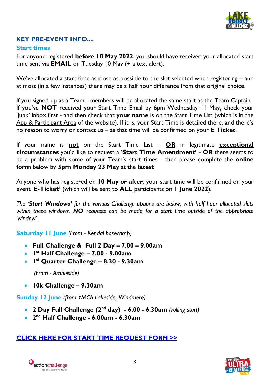

# **KEY PRE-EVENT INFO....**

# **Start times**

For anyone registered **before 10 May 2022**, you should have received your allocated start time sent via **EMAIL** on Tuesday 10 May (+ a text alert).

We've allocated a start time as close as possible to the slot selected when registering – and at most (in a few instances) there may be a half hour difference from that original choice.

If you signed-up as a Team - members will be allocated the same start as the Team Captain. If you've **NOT** received your Start Time Email by 6pm Wednesday 11 May**,** check your 'junk' inbox first - and then check that **your name** is on the Start Time List (which is in the App & Participant Area of the website). If it is, your Start Time is detailed there, and there's no reason to worry or contact us – as that time will be confirmed on your **E Ticket**.

If your name is **not** on the Start Time List – **OR** in legitimate **exceptional circumstances** you'd like to request a '**Start Time Amendment'** - **OR** there seems to be a problem with some of your Team's start times - then please complete the **online form** below by **5pm Monday 23 May** at the **latest**

Anyone who has registered on **10 May or after**, your start time will be confirmed on your event '**E-Ticket'** (which will be sent to **ALL** participants on **1 June 2022**).

*The 'Start Windows' for the various Challenge options are below, with half hour allocated slots within these windows. NO requests can be made for a start time outside of the appropriate 'window'.*

**Saturday 11 June** *(From - Kendal basecamp)*

- **Full Challenge & Full 2 Day – 7.00 – 9.00am**
- **1 st Half Challenge – 7.00 - 9.00am**
- **1 st Quarter Challenge – 8.30 - 9.30am**

 *(From - Ambleside)*

**10k Challenge – 9.30am**

**Sunday 12 June** *(from YMCA Lakeside, Windmere)*

- **2 Day Full Challenge (2nd day) - 6.00 - 6.30am** *(rolling start)*
- **2 nd Half Challenge - 6.00am - 6.30am**

# **[CLICK HERE FOR START TIME REQUEST FORM >>](https://airtable.com/shrNYLa5ZxqWFsD48)**



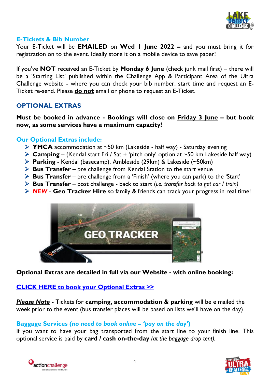

#### **E-Tickets & Bib Number**

Your E-Ticket will be **EMAILED** on **Wed 1 June 2022 –** and you must bring it for registration on to the event. Ideally store it on a mobile device to save paper!

If you've **NOT** received an E-Ticket by **Monday 6 June** (check junk mail first) – there will be a 'Starting List' published within the Challenge App & Participant Area of the Ultra Challenge website - where you can check your bib number, start time and request an E-Ticket re-send. Please **do not** email or phone to request an E-Ticket.

# **OPTIONAL EXTRAS**

**Must be booked in advance - Bookings will close on Friday 3 June – but book now, as some services have a maximum capacity!**

# **Our Optional Extras include:**

- **YMCA** accommodation at ~50 km (Lakeside half way) Saturday evening
- **Camping** (Kendal start Fri / Sat + 'pitch only' option at  $\sim$  50 km Lakeside half way)
- **Parking** Kendal (basecamp), Ambleside (29km) & Lakeside (~50km)
- **Bus Transfer** pre challenge from Kendal Station to the start venue
- **Bus Transfer** pre challenge from a 'Finish' (where you can park) to the 'Start'
- **Bus Transfer** post challenge back to start (*i.e. transfer back to get car / train)*
- *NEW* **Geo Tracker Hire** so family & friends can track your progress in real time!



**Optional Extras are detailed in full via our Website - with online booking:**

# **[CLICK HERE to book your Optional Extras >>](https://www.ultrachallenge.com/lake-district-challenge/bookable-extras/)**

*Please Note* **-** Tickets for **camping, accommodation & parking** will be e mailed the week prior to the event (bus transfer places will be based on lists we'll have on the day)

# **Baggage Services (***no need to book online – 'pay on the day'***)**

If you want to have your bag transported from the start line to your finish line. This optional service is paid by **card / cash on-the-day** *(at the baggage drop tent).*



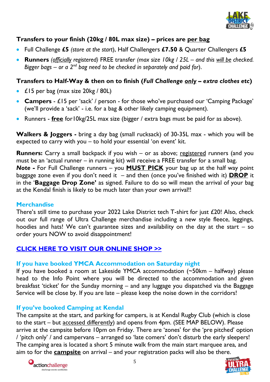

# **Transfers to your finish (20kg / 80L max size) – prices are per bag**

- Full Challenge **£5** *(store at the start*), Half Challengers **£7.50** & Quarter Challengers **£5**
- **Runners** *(officially registered)* FREE transfer *(max size 10kg / 25L and this will be checked. Bigger bags – or a 2nd bag need to be checked in separately and paid for*).

# **Transfers to Half-Way & then on to finish (***Full Challenge only – extra clothes etc***)**

- £15 per bag (max size 20kg / 80L)
- **Campers** £15 per 'sack' / person for those who've purchased our 'Camping Package' (we'll provide a 'sack' - i.e. for a bag & other likely camping equipment).
- Runners **free** for10kg/25L max size (bigger / extra bags must be paid for as above).

**Walkers & Joggers -** bring a day bag (small rucksack) of 30-35L max - which you will be expected to carry with you – to hold your essential 'on event' kit.

**Runners:** Carry a small backpack if you wish – or as above; registered runners (and you must be an 'actual runner – in running kit) will receive a FREE transfer for a small bag. *Note -* For Full Challenge runners – you **MUST PICK** your bag up at the half way point baggage zone even if you don't need it – and then (once you've finished with it) **DROP** it in the '**Baggage Drop Zone'** as signed. Failure to do so will mean the arrival of your bag at the Kendal finish is likely to be much later than your own arrival!!

# **Merchandise**

There's still time to purchase your 2022 Lake District tech T-shirt for just £20! Also, check out our full range of Ultra Challenge merchandise including a new style fleece, leggings, hoodies and hats! We can't guarantee sizes and availability on the day at the start  $-$  so order yours NOW to avoid disappointment!

# **[CLICK HERE TO VISIT OUR ONLINE SHOP](https://action-challenge-store.myshopify.com/?_ga=2.174027488.251636658.1556526362-347708532.1543833565) [>>](https://action-challenge-store.myshopify.com/?_ga=2.174027488.251636658.1556526362-347708532.1543833565)**

# **If you have booked YMCA Accommodation on Saturday night**

If you have booked a room at Lakeside YMCA accommodation (~50km – halfway) please head to the Info Point where you will be directed to the accommodation and given breakfast 'ticket' for the Sunday morning – and any luggage you dispatched via the Baggage Service will be close by. If you are late – please keep the noise down in the corridors!

# **If you've booked Camping at Kendal**

The campsite at the start, and parking for campers, is at Kendal Rugby Club (which is close to the start – but accessed differently) and opens from 4pm. (SEE MAP BELOW). Please arrive at the campsite before 10pm on Friday. There are 'zones' for the 'pre pitched' option / 'pitch only' / and campervans – arranged so 'late comers' don't disturb the early sleepers! The camping area is located a short 5 minute walk from the main start marquee area, and aim to for the **campsite** on arrival – and your registration packs will also be there.



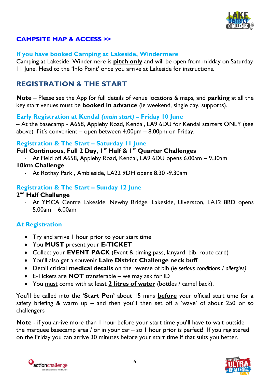

# **[CAMPSITE MAP & ACCESS >>](https://www.google.com/maps/place/54%C2%B020)**

# **If you have booked Camping at Lakeside, Windermere**

Camping at Lakeside, Windermere is **pitch only** and will be open from midday on Saturday 11 June. Head to the 'Info Point' once you arrive at Lakeside for instructions.

# **REGISTRATION & THE START**

**Note** – Please see the App for full details of venue locations & maps, and **parking** at all the key start venues must be **booked in advance** (ie weekend, single day, supports).

# **Early Registration at Kendal** *(main start)* **– Friday 10 June**

– At the basecamp - A658, Appleby Road, Kendal, LA9 6DU for Kendal starters ONLY (see above) if it's convenient – open between 4.00pm – 8.00pm on Friday.

#### **Registration & The Start – Saturday 11 June**

**Full Continuous, Full 2 Day, 1st Half & 1st Quarter Challenges**

- At Field off A658, Appleby Road, Kendal, LA9 6DU opens 6.00am – 9.30am

# **10km Challenge**

- At Rothay Park , Ambleside, LA22 9DH opens 8.30 -9.30am

# **Registration & The Start – Sunday 12 June**

# **2 nd Half Challenge**

- At YMCA Centre Lakeside, Newby Bridge, Lakeside, Ulverston, LA12 8BD opens 5.00am – 6.00am

# **At Registration**

- Try and arrive I hour prior to your start time
- You **MUST** present your **E-TICKET**
- Collect your **EVENT PACK** (Event & timing pass, lanyard, bib, route card)
- You'll also get a souvenir **Lake District Challenge neck buff**
- Detail critical **medical details** on the reverse of bib (*ie serious conditions / allergies)*
- E-Tickets are **NOT** transferable we may ask for ID
- You must come with at least **2 litres of water** (bottles / camel back).

You'll be called into the '**Start Pen'** about 15 mins **before** your official start time for a safety briefing & warm up – and then you'll then set off a 'wave' of about 250 or so challengers

**Note** - if you arrive more than 1 hour before your start time you'll have to wait outside the marquee basecamp area / or in your car – so  $\perp$  hour prior is perfect! If you registered on the Friday you can arrive 30 minutes before your start time if that suits you better.



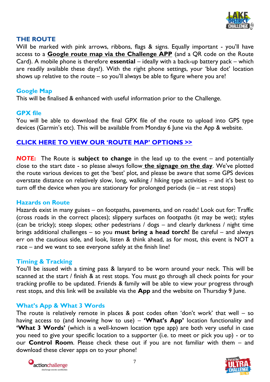

# **THE ROUTE**

Will be marked with pink arrows, ribbons, flags & signs. Equally important - you'll have access to a **Google route map via the Challenge APP** (and a QR code on the Route Card). A mobile phone is therefore **essential** – ideally with a back-up battery pack – which are readily available these days!). With the right phone settings, your 'blue dot' location shows up relative to the route  $-$  so you'll always be able to figure where you are!

#### **Google Map**

This will be finalised & enhanced with useful information prior to the Challenge.

#### **GPX file**

You will be able to download the final GPX file of the route to upload into GPS type devices (Garmin's etc). This will be available from Monday 6 June via the App & website.

# **[CLICK HERE TO VIEW OUR 'ROUTE MAP' OPTIONS >>](https://www.google.com/maps/d/edit?mid=1H4mY0HCfNxU6QDE3SMFcAarayJWEJJKG&ll=54.320891536974116%2C-3.0152721454522613&z=11)**

*NOTE***:** The Route is **subject to change** in the lead up to the event – and potentially close to the start date - so please always follow **the signage on the day**. We've plotted the route various devices to get the 'best' plot, and please be aware that some GPS devices overstate distance on relatively slow, long, walking / hiking type activities – and it's best to turn off the device when you are stationary for prolonged periods (ie – at rest stops)

#### **Hazards on Route**

Hazards exist in many guises – on footpaths, pavements, and on roads! Look out for: Traffic (cross roads in the correct places); slippery surfaces on footpaths (it may be wet); styles (can be tricky); steep slopes; other pedestrians / dogs – and clearly darkness / night time brings additional challenges – so you **must bring a head torch!** Be careful – and always err on the cautious side, and look, listen & think ahead, as for most, this event is NOT a race – and we want to see everyone safely at the finish line!

# **Timing & Tracking**

You'll be issued with a timing pass & lanyard to be worn around your neck. This will be scanned at the start / finish & at rest stops. You must go through all check points for your tracking profile to be updated. Friends & family will be able to view your progress through rest stops, and this link will be available via the **App** and the website on Thursday 9 June.

# **What's App & What 3 Words**

The route is relatively remote in places & post codes often 'don't work' that well  $-$  so having access to (and knowing how to use) – **'What's App'** location functionality and **'What 3 Words'** (which is a well-known location type app) are both very useful in case you need to give your specific location to a supporter (i.e. to meet or pick you up) - or to our **Control Room**. Please check these out if you are not familiar with them – and download these clever apps on to your phone!



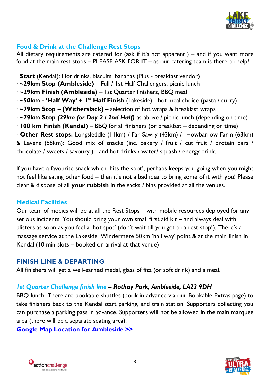

# **Food & Drink at the Challenge Rest Stops**

All dietary requirements are catered for (ask if it's not apparent!) – and if you want more food at the main rest stops – PLEASE ASK FOR IT – as our catering team is there to help!

- ∙ **Start** (Kendal): Hot drinks, biscuits, bananas (Plus breakfast vendor)
- ∙ **~29km Stop (Ambleside)** Full / 1st Half Challengers, picnic lunch
- ∙ **~29km Finish (Ambleside)** 1st Quarter finishers, BBQ meal
- **· ~50km 'Half Way' + I<sup>st</sup> Half Finish** (Lakeside) hot meal choice (pasta / curry)
- ∙ **~79km Stop – (Witherslack)**  selection of hot wraps & breakfast wraps
- ∙ **~79km Stop** *(29km for Day 2 / 2nd Half)* as above / picnic lunch (depending on time)
- ∙ **100 km Finish (Kendal)** BBQ for all finishers (or breakfast depending on time)

∙ **Other Rest stops:** Longsleddle (11km) / Far Sawry (43km) / Howbarrow Farm (63km) & Levens (88km): Good mix of snacks (inc. bakery / fruit / cut fruit / protein bars / chocolate / sweets / savoury ) - and hot drinks / water/ squash / energy drink.

If you have a favourite snack which 'hits the spot', perhaps keeps you going when you might not feel like eating other food – then it's not a bad idea to bring some of it with you! Please clear & dispose of all **your rubbish** in the sacks / bins provided at all the venues.

# **Medical Facilities**

Our team of medics will be at all the Rest Stops – with mobile resources deployed for any serious incidents. You should bring your own small first aid kit – and always deal with blisters as soon as you feel a 'hot spot' (don't wait till you get to a rest stop!). There's a massage service at the Lakeside, Windermere 50km 'half way' point & at the main finish in Kendal (10 min slots – booked on arrival at that venue)

# **FINISH LINE & DEPARTING**

All finishers will get a well-earned medal, glass of fizz (or soft drink) and a meal.

# *1st Quarter Challenge finish line – Rothay Park, Ambleside, LA22 9DH*

BBQ lunch. There are bookable shuttles (book in advance via our Bookable Extras page) to take finishers back to the Kendal start parking, and train station. Supporters collecting you can purchase a parking pass in advance. Supporters will not be allowed in the main marquee area (there will be a separate seating area).

**[Google Map Location for Ambleside >>](https://www.google.com/maps/place/54%C2%B025)**



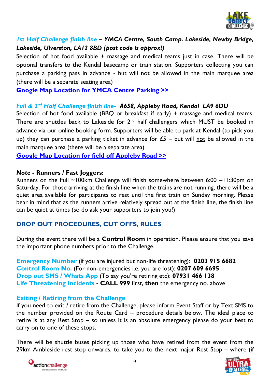

# *1st Half Challenge finish line – YMCA Centre, South Camp. Lakeside, Newby Bridge, Lakeside, Ulverston, LA12 8BD (post code is approx!)*

Selection of hot food available + massage and medical teams just in case. There will be optional transfers to the Kendal basecamp or train station. Supporters collecting you can purchase a parking pass in advance - but will not be allowed in the main marquee area (there will be a separate seating area)

**[Google Map Location for YMCA Centre Parking >>](https://www.google.com/maps/place/54%C2%B017)**

# *Full & 2nd Half Challenge finish line- A658, Appleby Road, Kendal LA9 6DU*

Selection of hot food available (BBQ or breakfast if early) + massage and medical teams. There are shuttles back to Lakeside for  $2<sup>nd</sup>$  half challengers which MUST be booked in advance via our online booking form. Supporters will be able to park at Kendal (to pick you up) they can purchase a parking ticket in advance for  $E_5$  – but will not be allowed in the main marquee area (there will be a separate area).

**Google Map [Location for field off Appleby Road](https://www.google.com/maps/place/54%C2%B020) >>**

# *Note* **- Runners / Fast Joggers:**

Runners on the Full ~100km Challenge will finish somewhere between 6:00 –11:30pm on Saturday. For those arriving at the finish line when the trains are not running, there will be a quiet area available for participants to rest until the first train on Sunday morning. Please bear in mind that as the runners arrive relatively spread out at the finish line, the finish line can be quiet at times (so do ask your supporters to join you!)

# **DROP OUT PROCEDURES, CUT OFFS, RULES**

During the event there will be a **Control Room** in operation. Please ensure that you save the important phone numbers prior to the Challenge.

**Emergency Number** (if you are injured but non-life threatening): **0203 915 6682 Control Room No.** (For non-emergencies i.e. you are lost): **0207 609 6695 Drop out SMS / Whats App** (To say you're retiring etc): **07931 466 138 Life Threatening Incidents - CALL 999** first, **then** the emergency no. above

# **Exiting / Retiring from the Challenge**

If you need to exit / retire from the Challenge, please inform Event Staff or by Text SMS to the number provided on the Route Card – procedure details below. The ideal place to retire is at any Rest Stop – so unless it is an absolute emergency please do your best to carry on to one of these stops.

There will be shuttle buses picking up those who have retired from the event from the 29km Ambleside rest stop onwards, to take you to the next major Rest Stop – where (if



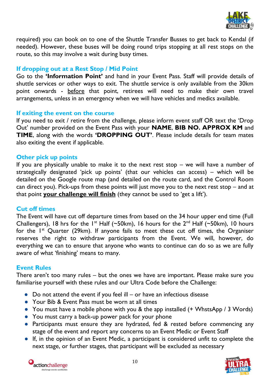

required) you can book on to one of the Shuttle Transfer Busses to get back to Kendal (if needed). However, these buses will be doing round trips stopping at all rest stops on the route, so this may involve a wait during busy times.

#### **If dropping out at a Rest Stop / Mid Point**

Go to the **'Information Point'** and hand in your Event Pass. Staff will provide details of shuttle services or other ways to exit. The shuttle service is only available from the 30km point onwards - before that point, retirees will need to make their own travel arrangements, unless in an emergency when we will have vehicles and medics available.

#### **If exiting the event on the course**

If you need to exit / retire from the challenge, please inform event staff OR text the 'Drop Out' number provided on the Event Pass with your **NAME**, **BIB NO. APPROX KM** and **TIME**, along with the words **'DROPPING OUT'**. Please include details for team mates also exiting the event if applicable.

#### **Other pick up points**

If you are physically unable to make it to the next rest stop – we will have a number of strategically designated 'pick up points' (that our vehicles can access) – which will be detailed on the Google route map (and detailed on the route card, and the Control Room can direct you). Pick-ups from these points will just move you to the next rest stop – and at that point **your challenge will finish** (they cannot be used to 'get a lift').

# **Cut off times**

The Event will have cut off departure times from based on the 34 hour upper end time (Full Challengers), 18 hrs for the 1<sup>st</sup> Half (~50km), 16 hours for the  $2^{nd}$  Half (~50km), 10 hours for the  $I<sup>st</sup>$  Quarter (29km). If anyone fails to meet these cut off times, the Organiser reserves the right to withdraw participants from the Event. We will, however, do everything we can to ensure that anyone who wants to continue can do so as we are fully aware of what 'finishing' means to many.

# **Event Rules**

There aren't too many rules – but the ones we have are important. Please make sure you familiarise yourself with these rules and our Ultra Code before the Challenge:

- $\bullet$  Do not attend the event if you feel ill or have an infectious disease
- Your Bib & Event Pass must be worn at all times
- You must have a mobile phone with you & the app installed (+ WhstsApp / 3 Words)
- You must carry a back-up power pack for your phone
- Participants must ensure they are hydrated, fed & rested before commencing any stage of the event and report any concerns to an Event Medic or Event Staff
- If, in the opinion of an Event Medic, a participant is considered unfit to complete the next stage, or further stages, that participant will be excluded as necessary



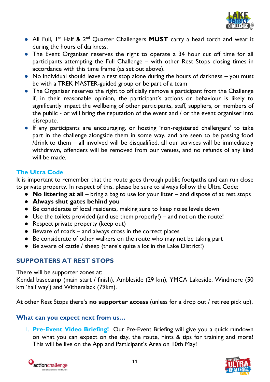

- All Full, I<sup>st</sup> Half & 2<sup>nd</sup> Quarter Challengers **MUST** carry a head torch and wear it during the hours of darkness.
- The Event Organiser reserves the right to operate a 34 hour cut off time for all participants attempting the Full Challenge – with other Rest Stops closing times in accordance with this time frame (as set out above).
- No individual should leave a rest stop alone during the hours of darkness you must be with a TREK MASTER-guided group or be part of a team
- The Organiser reserves the right to officially remove a participant from the Challenge if, in their reasonable opinion, the participant's actions or behaviour is likely to significantly impact the wellbeing of other participants, staff, suppliers, or members of the public - or will bring the reputation of the event and / or the event organiser into disrepute.
- If any participants are encouraging, or hosting 'non-registered challengers' to take part in the challenge alongside them in some way, and are seen to be passing food /drink to them – all involved will be disqualified, all our services will be immediately withdrawn, offenders will be removed from our venues, and no refunds of any kind will be made.

# **The Ultra Code**

It is important to remember that the route goes through public footpaths and can run close to private property. In respect of this, please be sure to always follow the Ultra Code:

- **No littering at all** bring a bag to use for your litter and dispose of at rest stops
- **Always shut gates behind you**
- Be considerate of local residents, making sure to keep noise levels down
- Use the toilets provided (and use them properly!) and not on the route!
- Respect private property (keep out)
- Beware of roads and always cross in the correct places
- Be considerate of other walkers on the route who may not be taking part
- Be aware of cattle / sheep (there's quite a lot in the Lake District!)

# **SUPPORTERS AT REST STOPS**

There will be supporter zones at:

Kendal basecamp (main start / finish), Ambleside (29 km), YMCA Lakeside, Windmere (50 km 'half way') and Witherslack (79km).

At other Rest Stops there's **no supporter access** (unless for a drop out / retiree pick up).

# **What can you expect next from us…**

1. **Pre-Event Video Briefing!** Our Pre-Event Briefing will give you a quick rundown on what you can expect on the day, the route, hints & tips for training and more! This will be live on the App and Participant's Area on 10th May!